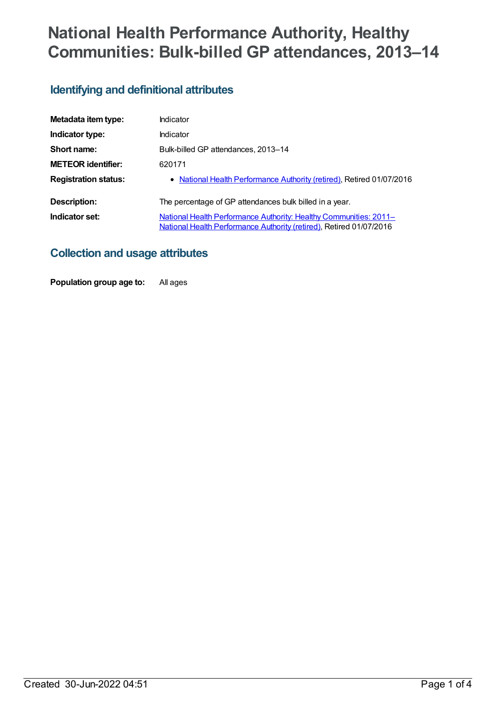# **National Health Performance Authority, Healthy Communities: Bulk-billed GP attendances, 2013–14**

### **Identifying and definitional attributes**

| Metadata item type:         | Indicator                                                                                                                                       |
|-----------------------------|-------------------------------------------------------------------------------------------------------------------------------------------------|
| Indicator type:             | Indicator                                                                                                                                       |
| Short name:                 | Bulk-billed GP attendances, 2013-14                                                                                                             |
| <b>METEOR identifier:</b>   | 620171                                                                                                                                          |
| <b>Registration status:</b> | • National Health Performance Authority (retired), Retired 01/07/2016                                                                           |
| Description:                | The percentage of GP attendances bulk billed in a year.                                                                                         |
| Indicator set:              | <b>National Health Performance Authority: Healthy Communities: 2011–</b><br>National Health Performance Authority (retired), Retired 01/07/2016 |

#### **Collection and usage attributes**

**Population group age to:** All ages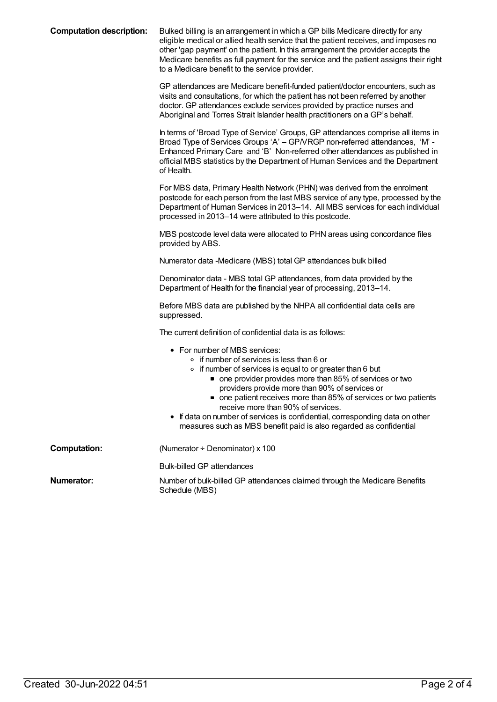| <b>Computation description:</b> | Bulked billing is an arrangement in which a GP bills Medicare directly for any<br>eligible medical or allied health service that the patient receives, and imposes no<br>other 'gap payment' on the patient. In this arrangement the provider accepts the<br>Medicare benefits as full payment for the service and the patient assigns their right<br>to a Medicare benefit to the service provider.                                                                                                                |
|---------------------------------|---------------------------------------------------------------------------------------------------------------------------------------------------------------------------------------------------------------------------------------------------------------------------------------------------------------------------------------------------------------------------------------------------------------------------------------------------------------------------------------------------------------------|
|                                 | GP attendances are Medicare benefit-funded patient/doctor encounters, such as<br>visits and consultations, for which the patient has not been referred by another<br>doctor. GP attendances exclude services provided by practice nurses and<br>Aboriginal and Torres Strait Islander health practitioners on a GP's behalf.                                                                                                                                                                                        |
|                                 | In terms of 'Broad Type of Service' Groups, GP attendances comprise all items in<br>Broad Type of Services Groups 'A' - GP/VRGP non-referred attendances, 'M' -<br>Enhanced Primary Care and 'B' Non-referred other attendances as published in<br>official MBS statistics by the Department of Human Services and the Department<br>of Health.                                                                                                                                                                     |
|                                 | For MBS data, Primary Health Network (PHN) was derived from the enrolment<br>postcode for each person from the last MBS service of any type, processed by the<br>Department of Human Services in 2013-14. All MBS services for each individual<br>processed in 2013-14 were attributed to this postcode.                                                                                                                                                                                                            |
|                                 | MBS postcode level data were allocated to PHN areas using concordance files<br>provided by ABS.                                                                                                                                                                                                                                                                                                                                                                                                                     |
|                                 | Numerator data -Medicare (MBS) total GP attendances bulk billed                                                                                                                                                                                                                                                                                                                                                                                                                                                     |
|                                 | Denominator data - MBS total GP attendances, from data provided by the<br>Department of Health for the financial year of processing, 2013-14.                                                                                                                                                                                                                                                                                                                                                                       |
|                                 | Before MBS data are published by the NHPA all confidential data cells are<br>suppressed.                                                                                                                                                                                                                                                                                                                                                                                                                            |
|                                 | The current definition of confidential data is as follows:                                                                                                                                                                                                                                                                                                                                                                                                                                                          |
|                                 | • For number of MBS services:<br>∘ if number of services is less than 6 or<br>• if number of services is equal to or greater than 6 but<br>• one provider provides more than 85% of services or two<br>providers provide more than 90% of services or<br>• one patient receives more than 85% of services or two patients<br>receive more than 90% of services.<br>If data on number of services is confidential, corresponding data on other<br>measures such as MBS benefit paid is also regarded as confidential |
| <b>Computation:</b>             | (Numerator ÷ Denominator) x 100                                                                                                                                                                                                                                                                                                                                                                                                                                                                                     |
|                                 | <b>Bulk-billed GP attendances</b>                                                                                                                                                                                                                                                                                                                                                                                                                                                                                   |
| <b>Numerator:</b>               | Number of bulk-billed GP attendances claimed through the Medicare Benefits<br>Schedule (MBS)                                                                                                                                                                                                                                                                                                                                                                                                                        |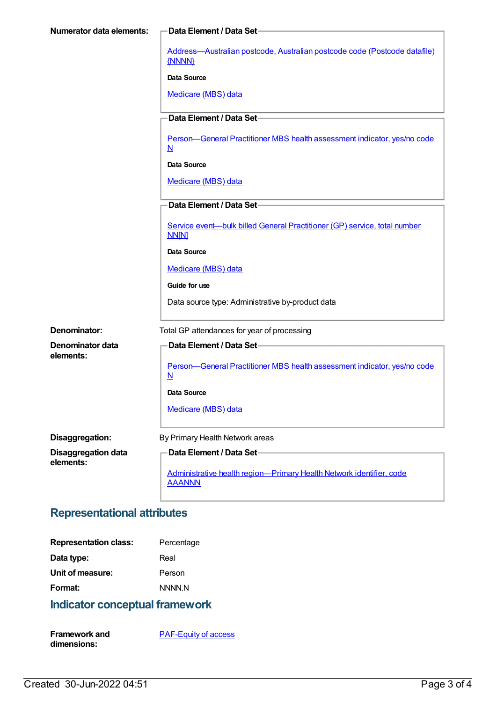| <b>Numerator data elements:</b> | -Data Element / Data Set-                                                                            |
|---------------------------------|------------------------------------------------------------------------------------------------------|
|                                 | Address-Australian postcode, Australian postcode code (Postcode datafile)<br>{NNNN}                  |
|                                 | Data Source                                                                                          |
|                                 | Medicare (MBS) data                                                                                  |
|                                 | Data Element / Data Set-                                                                             |
|                                 | Person-General Practitioner MBS health assessment indicator, yes/no code<br>$\underline{\mathbf{N}}$ |
|                                 | Data Source                                                                                          |
|                                 | Medicare (MBS) data                                                                                  |
|                                 | Data Element / Data Set-                                                                             |
|                                 | Service event-bulk billed General Practitioner (GP) service, total number<br><b>NN[N]</b>            |
|                                 | <b>Data Source</b>                                                                                   |
|                                 | Medicare (MBS) data                                                                                  |
|                                 | Guide for use                                                                                        |
|                                 | Data source type: Administrative by-product data                                                     |
| Denominator:                    | Total GP attendances for year of processing                                                          |
| Denominator data                | Data Element / Data Set-                                                                             |
| elements:                       | Person-General Practitioner MBS health assessment indicator, yes/no code<br>$\underline{\mathsf{N}}$ |
|                                 | Data Source                                                                                          |
|                                 | Medicare (MBS) data                                                                                  |
| Disaggregation:                 | By Primary Health Network areas                                                                      |
| <b>Disaggregation data</b>      | Data Element / Data Set-                                                                             |
| elements:                       | Administrative health region-Primary Health Network identifier, code<br><b>AAANNN</b>                |

# **Representational attributes**

| <b>Representation class:</b> | Percentage    |
|------------------------------|---------------|
| Data type:                   | Real          |
| Unit of measure:             | Person        |
| Format:                      | <b>NNNN N</b> |

# **Indicator conceptual framework**

| <b>Framework and</b> | <b>PAF-Equity of access</b> |
|----------------------|-----------------------------|
| dimensions:          |                             |